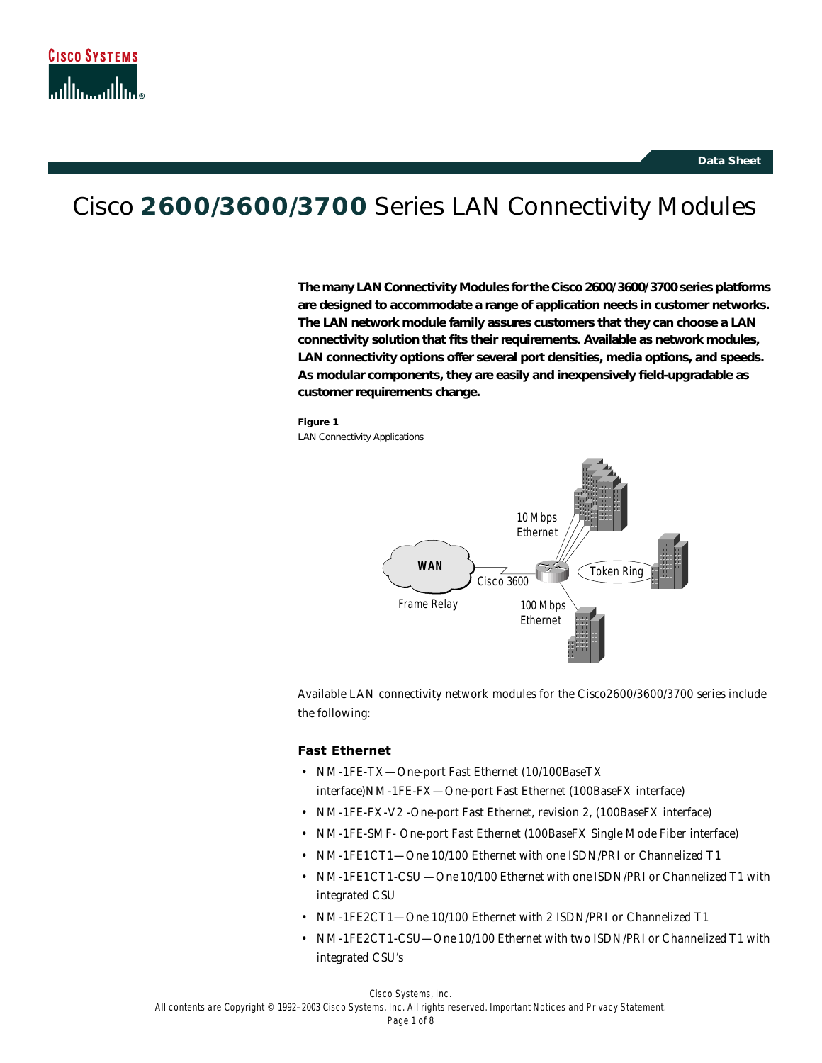# Cisco **2600/3600/3700** Series LAN Connectivity Modules

**The many LAN Connectivity Modules for the Cisco 2600/3600/3700 series platforms are designed to accommodate a range of application needs in customer networks. The LAN network module family assures customers that they can choose a LAN connectivity solution that fits their requirements. Available as network modules, LAN connectivity options offer several port densities, media options, and speeds. As modular components, they are easily and inexpensively field-upgradable as customer requirements change.**

#### **Figure 1**

LAN Connectivity Applications



Available LAN connectivity network modules for the Cisco2600/3600/3700 series include the following:

#### **Fast Ethernet**

- NM-1FE-TX—One-port Fast Ethernet (10/100BaseTX interface)NM-1FE-FX—One-port Fast Ethernet (100BaseFX interface)
- NM-1FE-FX-V2 -One-port Fast Ethernet, revision 2, (100BaseFX interface)
- NM-1FE-SMF- One-port Fast Ethernet (100BaseFX Single Mode Fiber interface)
- NM-1FE1CT1—One 10/100 Ethernet with one ISDN/PRI or Channelized T1
- NM-1FE1CT1-CSU —One 10/100 Ethernet with one ISDN/PRI or Channelized T1 with integrated CSU
- NM-1FE2CT1—One 10/100 Ethernet with 2 ISDN/PRI or Channelized T1
- NM-1FE2CT1-CSU—One 10/100 Ethernet with two ISDN/PRI or Channelized T1 with integrated CSU's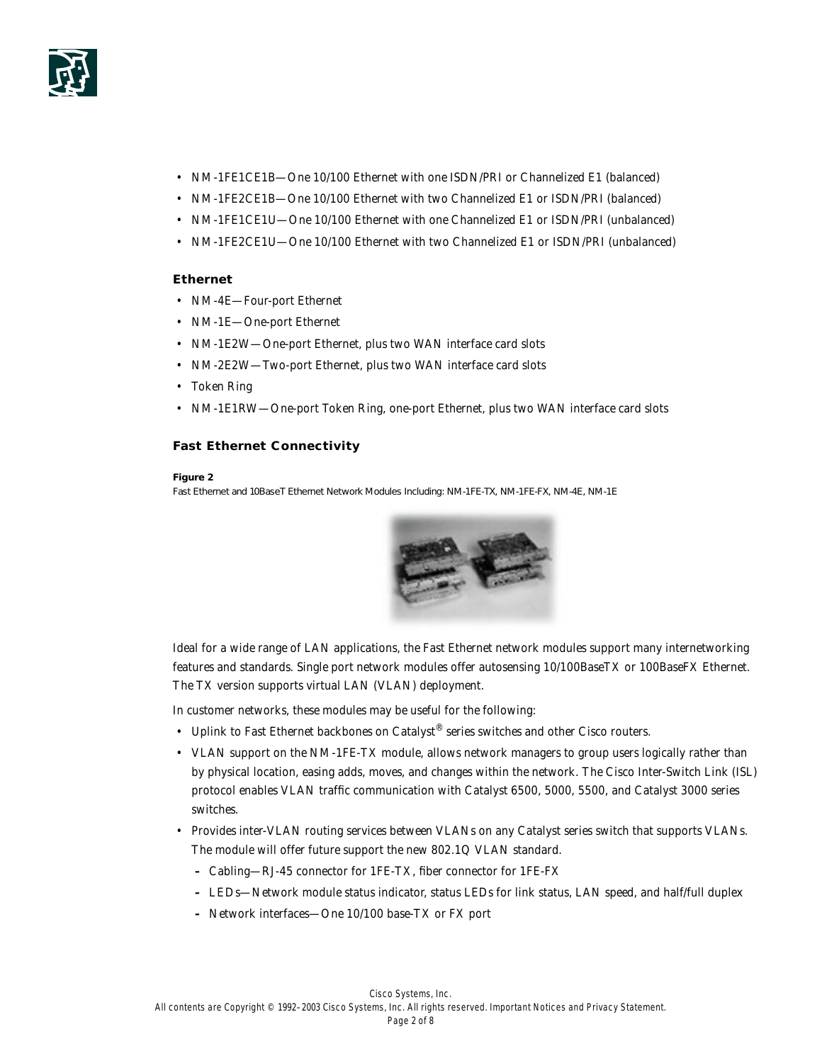

- NM-1FE1CE1B—One 10/100 Ethernet with one ISDN/PRI or Channelized E1 (balanced)
- NM-1FE2CE1B—One 10/100 Ethernet with two Channelized E1 or ISDN/PRI (balanced)
- NM-1FE1CE1U—One 10/100 Ethernet with one Channelized E1 or ISDN/PRI (unbalanced)
- NM-1FE2CE1U—One 10/100 Ethernet with two Channelized E1 or ISDN/PRI (unbalanced)

## **Ethernet**

- NM-4E—Four-port Ethernet
- NM-1E-One-port Ethernet
- NM-1E2W—One-port Ethernet, plus two WAN interface card slots
- NM-2E2W—Two-port Ethernet, plus two WAN interface card slots
- Token Ring
- NM-1E1RW—One-port Token Ring, one-port Ethernet, plus two WAN interface card slots

### **Fast Ethernet Connectivity**

#### **Figure 2**

Fast Ethernet and 10BaseT Ethernet Network Modules Including: NM-1FE-TX, NM-1FE-FX, NM-4E, NM-1E



Ideal for a wide range of LAN applications, the Fast Ethernet network modules support many internetworking features and standards. Single port network modules offer autosensing 10/100BaseTX or 100BaseFX Ethernet. The TX version supports virtual LAN (VLAN) deployment.

In customer networks, these modules may be useful for the following:

- Uplink to Fast Ethernet backbones on Catalyst® series switches and other Cisco routers.
- VLAN support on the NM-1FE-TX module, allows network managers to group users logically rather than by physical location, easing adds, moves, and changes within the network. The Cisco Inter-Switch Link (ISL) protocol enables VLAN traffic communication with Catalyst 6500, 5000, 5500, and Catalyst 3000 series switches.
- Provides inter-VLAN routing services between VLANs on any Catalyst series switch that supports VLANs. The module will offer future support the new 802.1Q VLAN standard.
	- **–** *Cabling*—RJ-45 connector for 1FE-TX, fiber connector for 1FE-FX
	- **–** *LEDs*—Network module status indicator, status LEDs for link status, LAN speed, and half/full duplex
	- **–** *Network interfaces*—One 10/100 base-TX or FX port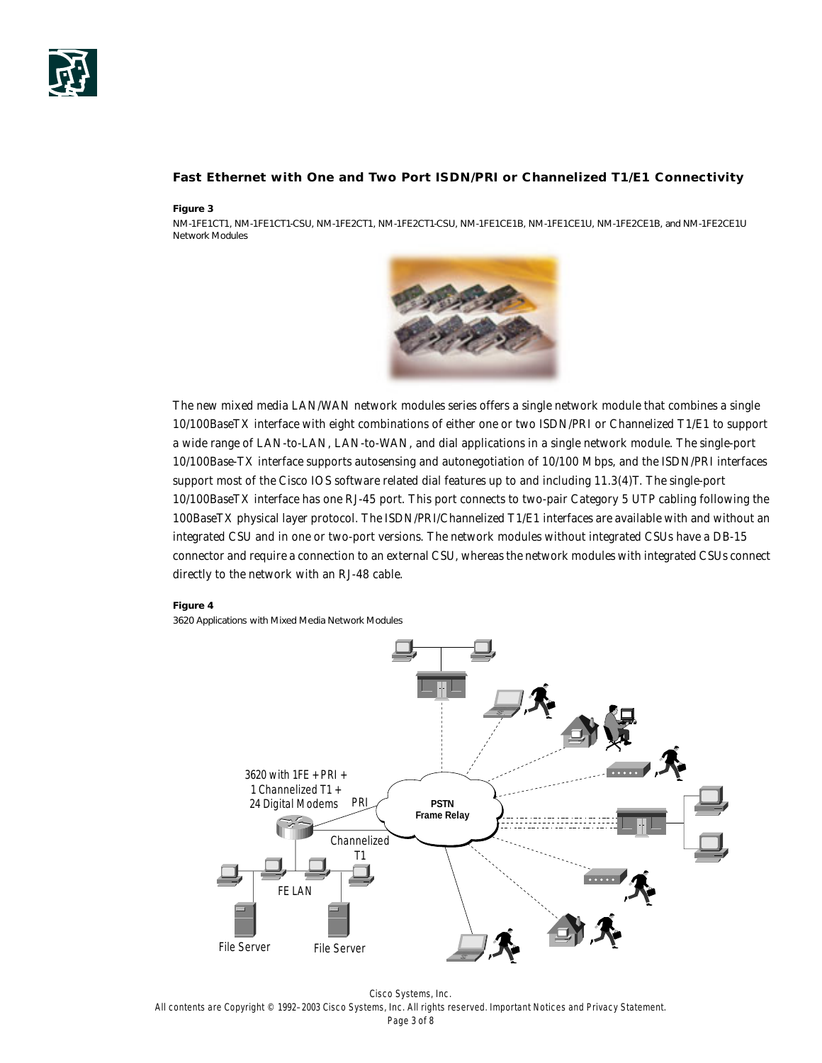

## **Fast Ethernet with One and Two Port ISDN/PRI or Channelized T1/E1 Connectivity**

#### **Figure 3**

NM-1FE1CT1, NM-1FE1CT1-CSU, NM-1FE2CT1, NM-1FE2CT1-CSU, NM-1FE1CE1B, NM-1FE1CE1U, NM-1FE2CE1B, and NM-1FE2CE1U Network Modules



The new mixed media LAN/WAN network modules series offers a single network module that combines a single 10/100BaseTX interface with eight combinations of either one or two ISDN/PRI or Channelized T1/E1 to support a wide range of LAN-to-LAN, LAN-to-WAN, and dial applications in a single network module. The single-port 10/100Base-TX interface supports autosensing and autonegotiation of 10/100 Mbps, and the ISDN/PRI interfaces support most of the Cisco IOS software related dial features up to and including 11.3(4)T. The single-port 10/100BaseTX interface has one RJ-45 port. This port connects to two-pair Category 5 UTP cabling following the 100BaseTX physical layer protocol. The ISDN/PRI/Channelized T1/E1 interfaces are available with and without an integrated CSU and in one or two-port versions. The network modules without integrated CSUs have a DB-15 connector and require a connection to an external CSU, whereas the network modules with integrated CSUs connect directly to the network with an RJ-48 cable.

#### **Figure 4**

3620 Applications with Mixed Media Network Modules



Cisco Systems, Inc. All contents are Copyright © 1992–2003 Cisco Systems, Inc. All rights reserved. Important Notices and Privacy Statement. Page 3 of 8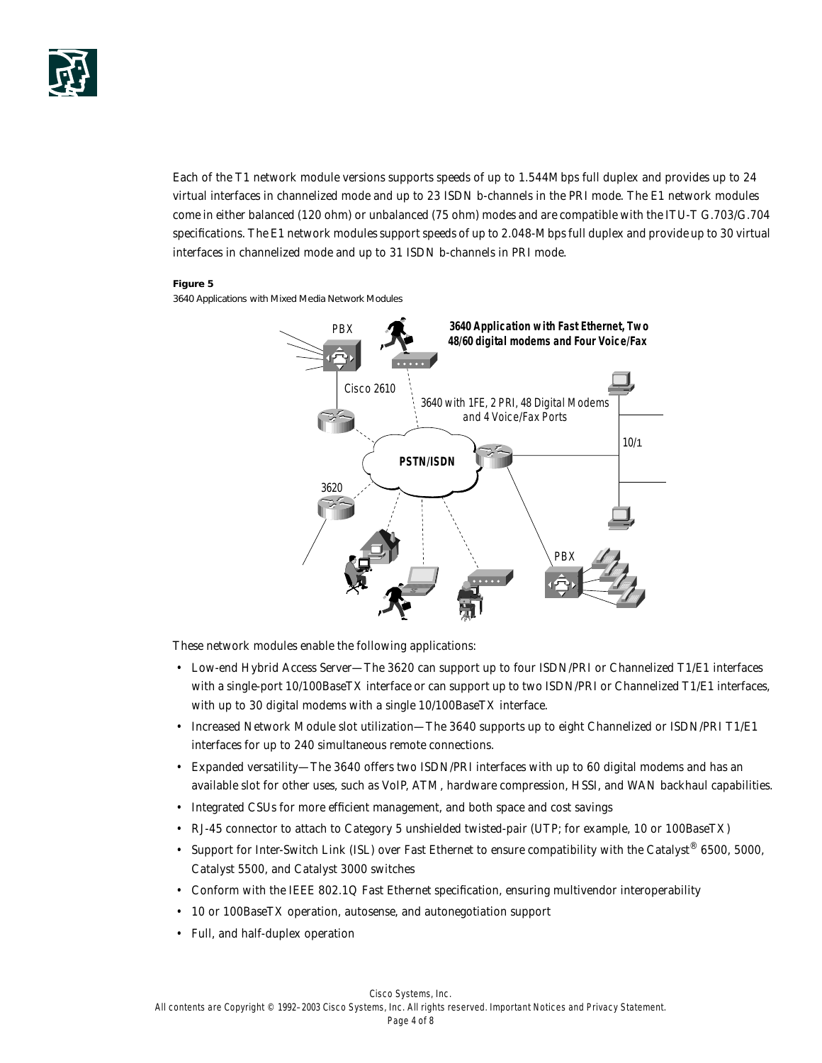

Each of the T1 network module versions supports speeds of up to 1.544Mbps full duplex and provides up to 24 virtual interfaces in channelized mode and up to 23 ISDN b-channels in the PRI mode. The E1 network modules come in either balanced (120 ohm) or unbalanced (75 ohm) modes and are compatible with the ITU-T G.703/G.704 specifications. The E1 network modules support speeds of up to 2.048-Mbps full duplex and provide up to 30 virtual interfaces in channelized mode and up to 31 ISDN b-channels in PRI mode.

#### **Figure 5**

3640 Applications with Mixed Media Network Modules



These network modules enable the following applications:

- Low-end Hybrid Access Server—The 3620 can support up to four ISDN/PRI or Channelized T1/E1 interfaces with a single-port 10/100BaseTX interface or can support up to two ISDN/PRI or Channelized T1/E1 interfaces, with up to 30 digital modems with a single 10/100BaseTX interface.
- Increased Network Module slot utilization—The 3640 supports up to eight Channelized or ISDN/PRI T1/E1 interfaces for up to 240 simultaneous remote connections.
- Expanded versatility—The 3640 offers two ISDN/PRI interfaces with up to 60 digital modems and has an available slot for other uses, such as VoIP, ATM, hardware compression, HSSI, and WAN backhaul capabilities.
- Integrated CSUs for more efficient management, and both space and cost savings
- RJ-45 connector to attach to Category 5 unshielded twisted-pair (UTP; for example, 10 or 100BaseTX)
- Support for Inter-Switch Link (ISL) over Fast Ethernet to ensure compatibility with the Catalyst<sup>®</sup> 6500, 5000, Catalyst 5500, and Catalyst 3000 switches
- Conform with the IEEE 802.1Q Fast Ethernet specification, ensuring multivendor interoperability
- 10 or 100BaseTX operation, autosense, and autonegotiation support
- Full, and half-duplex operation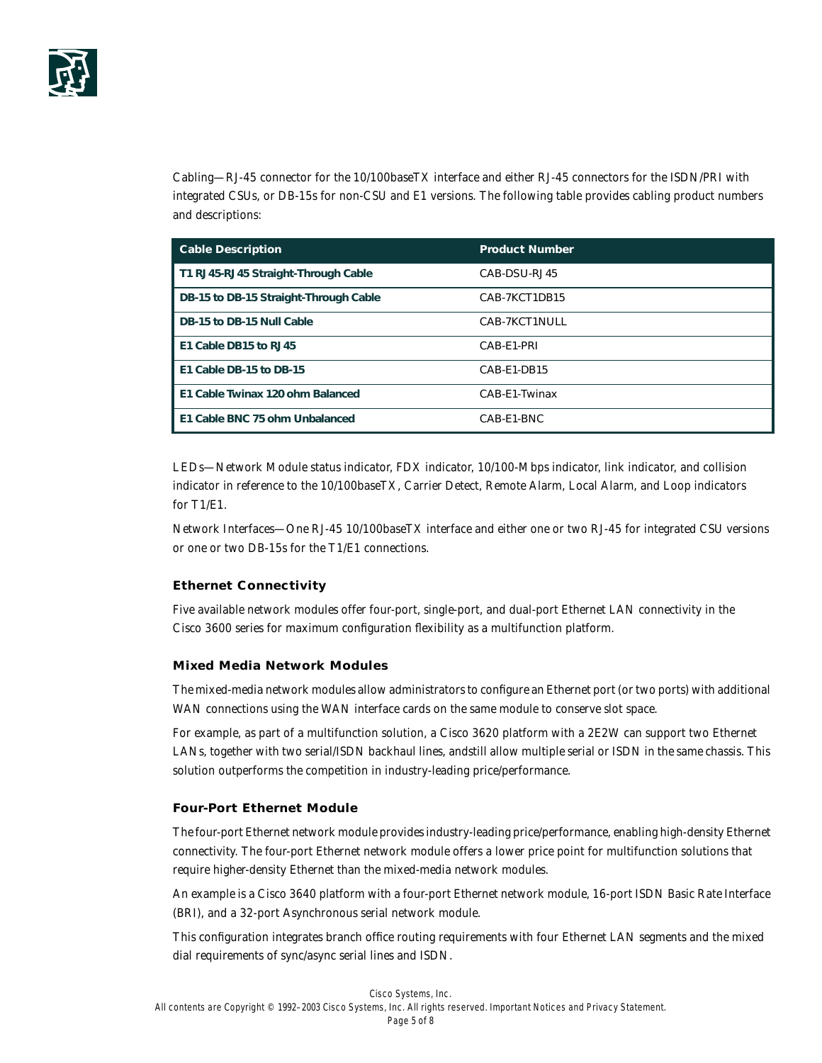

*Cabling*—RJ-45 connector for the 10/100baseTX interface and either RJ-45 connectors for the ISDN/PRI with integrated CSUs, or DB-15s for non-CSU and E1 versions. The following table provides cabling product numbers and descriptions:

| <b>Cable Description</b>              | <b>Product Number</b> |
|---------------------------------------|-----------------------|
| T1 RJ45-RJ45 Straight-Through Cable   | CAB-DSU-RJ45          |
| DB-15 to DB-15 Straight-Through Cable | CAB-7KCT1DB15         |
| DB-15 to DB-15 Null Cable             | CAB-7KCT1NULL         |
| E1 Cable DB15 to RJ45                 | CAB-E1-PRI            |
| E1 Cable DB-15 to DB-15               | CAB-E1-DB15           |
| E1 Cable Twinax 120 ohm Balanced      | CAB-E1-Twinax         |
| E1 Cable BNC 75 ohm Unbalanced        | CAB-E1-BNC            |

*LEDs*—Network Module status indicator, FDX indicator, 10/100-Mbps indicator, link indicator, and collision indicator in reference to the 10/100baseTX, Carrier Detect, Remote Alarm, Local Alarm, and Loop indicators for T1/E1.

*Network Interfaces*—One RJ-45 10/100baseTX interface and either one or two RJ-45 for integrated CSU versions or one or two DB-15s for the T1/E1 connections.

## **Ethernet Connectivity**

Five available network modules offer four-port, single-port, and dual-port Ethernet LAN connectivity in the Cisco 3600 series for maximum configuration flexibility as a multifunction platform.

## **Mixed Media Network Modules**

The mixed-media network modules allow administrators to configure an Ethernet port (or two ports) with additional WAN connections using the WAN interface cards on the same module to conserve slot space.

For example, as part of a multifunction solution, a Cisco 3620 platform with a 2E2W can support two Ethernet LANs, together with two serial/ISDN backhaul lines, andstill allow multiple serial or ISDN in the same chassis. This solution outperforms the competition in industry-leading price/performance.

#### **Four-Port Ethernet Module**

The four-port Ethernet network module provides industry-leading price/performance, enabling high-density Ethernet connectivity. The four-port Ethernet network module offers a lower price point for multifunction solutions that require higher-density Ethernet than the mixed-media network modules.

An example is a Cisco 3640 platform with a four-port Ethernet network module, 16-port ISDN Basic Rate Interface (BRI), and a 32-port Asynchronous serial network module.

This configuration integrates branch office routing requirements with four Ethernet LAN segments and the mixed dial requirements of sync/async serial lines and ISDN.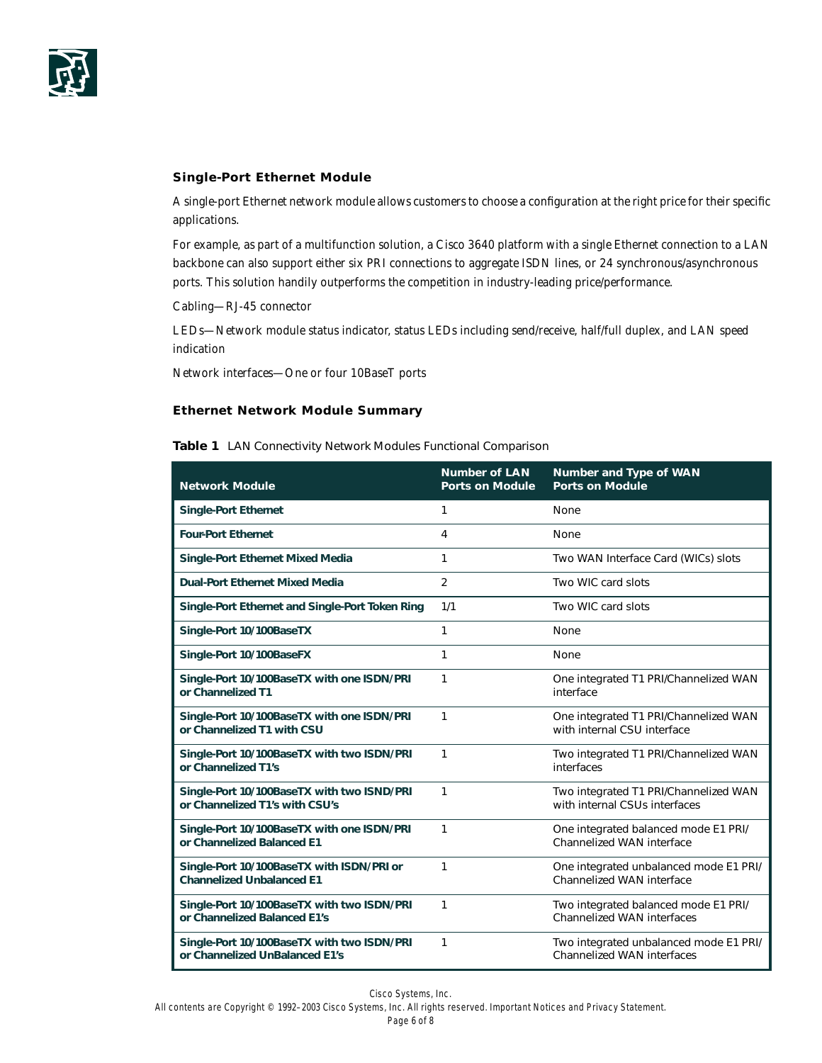

# **Single-Port Ethernet Module**

A single-port Ethernet network module allows customers to choose a configuration at the right price for their specific applications.

For example, as part of a multifunction solution, a Cisco 3640 platform with a single Ethernet connection to a LAN backbone can also support either six PRI connections to aggregate ISDN lines, or 24 synchronous/asynchronous ports. This solution handily outperforms the competition in industry-leading price/performance.

*Cabling*—RJ-45 connector

*LEDs*—Network module status indicator, status LEDs including send/receive, half/full duplex, and LAN speed indication

*Network interfaces*—One or four 10BaseT ports

## **Ethernet Network Module Summary**

**Table 1** LAN Connectivity Network Modules Functional Comparison

| <b>Network Module</b>                                                         | <b>Number of LAN</b><br><b>Ports on Module</b> | <b>Number and Type of WAN</b><br><b>Ports on Module</b>                     |
|-------------------------------------------------------------------------------|------------------------------------------------|-----------------------------------------------------------------------------|
| <b>Single-Port Ethernet</b>                                                   | 1                                              | None                                                                        |
| <b>Four-Port Ethernet</b>                                                     | 4                                              | None                                                                        |
| <b>Single-Port Ethernet Mixed Media</b>                                       | 1                                              | Two WAN Interface Card (WICs) slots                                         |
| <b>Dual-Port Ethernet Mixed Media</b>                                         | $\overline{2}$                                 | Two WIC card slots                                                          |
| Single-Port Ethernet and Single-Port Token Ring                               | 1/1                                            | Two WIC card slots                                                          |
| Single-Port 10/100BaseTX                                                      | 1                                              | None                                                                        |
| Single-Port 10/100BaseFX                                                      | 1                                              | None                                                                        |
| Single-Port 10/100BaseTX with one ISDN/PRI<br>or Channelized T1               | 1                                              | One integrated T1 PRI/Channelized WAN<br>interface                          |
| Single-Port 10/100BaseTX with one ISDN/PRI<br>or Channelized T1 with CSU      | 1                                              | One integrated T1 PRI/Channelized WAN<br>with internal CSU interface        |
| Single-Port 10/100BaseTX with two ISDN/PRI<br>or Channelized T1's             | 1                                              | Two integrated T1 PRI/Channelized WAN<br>interfaces                         |
| Single-Port 10/100BaseTX with two ISND/PRI<br>or Channelized T1's with CSU's  | 1                                              | Two integrated T1 PRI/Channelized WAN<br>with internal CSUs interfaces      |
| Single-Port 10/100BaseTX with one ISDN/PRI<br>or Channelized Balanced E1      | 1                                              | One integrated balanced mode E1 PRI/<br>Channelized WAN interface           |
| Single-Port 10/100BaseTX with ISDN/PRI or<br><b>Channelized Unbalanced E1</b> | 1                                              | One integrated unbalanced mode E1 PRI/<br><b>Channelized WAN interface</b>  |
| Single-Port 10/100BaseTX with two ISDN/PRI<br>or Channelized Balanced E1's    | 1                                              | Two integrated balanced mode E1 PRI/<br><b>Channelized WAN interfaces</b>   |
| Single-Port 10/100BaseTX with two ISDN/PRI<br>or Channelized UnBalanced E1's  | 1                                              | Two integrated unbalanced mode E1 PRI/<br><b>Channelized WAN interfaces</b> |

Cisco Systems, Inc.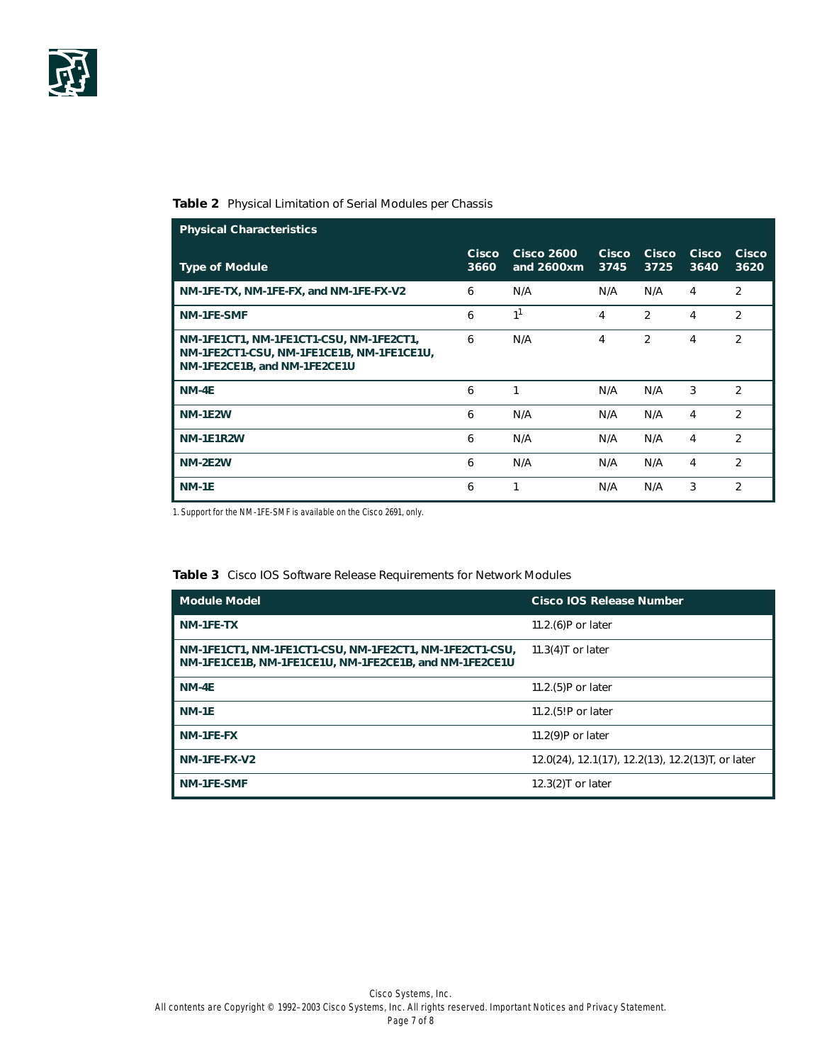

## **Table 2** Physical Limitation of Serial Modules per Chassis

| <b>Physical Characteristics</b>                                                                                      |               |                                 |                      |                      |                      |                |
|----------------------------------------------------------------------------------------------------------------------|---------------|---------------------------------|----------------------|----------------------|----------------------|----------------|
| <b>Type of Module</b>                                                                                                | Cisco<br>3660 | <b>Cisco 2600</b><br>and 2600xm | <b>Cisco</b><br>3745 | <b>Cisco</b><br>3725 | <b>Cisco</b><br>3640 | Cisco<br>3620  |
| NM-1FE-TX, NM-1FE-FX, and NM-1FE-FX-V2                                                                               | 6             | N/A                             | N/A                  | N/A                  | 4                    | $\overline{2}$ |
| <b>NM-1FE-SMF</b>                                                                                                    | 6             | 1 <sup>1</sup>                  | 4                    | $\mathfrak{D}$       | 4                    | $\overline{2}$ |
| NM-1FE1CT1, NM-1FE1CT1-CSU, NM-1FE2CT1,<br>NM-1FE2CT1-CSU, NM-1FE1CE1B, NM-1FE1CE1U,<br>NM-1FE2CE1B, and NM-1FE2CE1U | 6             | N/A                             | 4                    | 2                    | 4                    | 2              |
| NM-4E                                                                                                                | 6             | 1                               | N/A                  | N/A                  | 3                    | 2              |
| <b>NM-1E2W</b>                                                                                                       | 6             | N/A                             | N/A                  | N/A                  | 4                    | 2              |
| <b>NM-1E1R2W</b>                                                                                                     | 6             | N/A                             | N/A                  | N/A                  | 4                    | $\overline{2}$ |
| <b>NM-2E2W</b>                                                                                                       | 6             | N/A                             | N/A                  | N/A                  | 4                    | $\mathfrak{D}$ |
| <b>NM-1E</b>                                                                                                         | 6             | 1                               | N/A                  | N/A                  | 3                    | 2              |

1. Support for the NM-1FE-SMF is available on the Cisco 2691, only.

# **Table 3** Cisco IOS Software Release Requirements for Network Modules

| <b>Module Model</b>                                                                                               | <b>Cisco IOS Release Number</b>                   |
|-------------------------------------------------------------------------------------------------------------------|---------------------------------------------------|
| NM-1FE-TX                                                                                                         | 11.2. $(6)$ P or later                            |
| NM-1FE1CT1, NM-1FE1CT1-CSU, NM-1FE2CT1, NM-1FE2CT1-CSU,<br>NM-1FE1CE1B, NM-1FE1CE1U, NM-1FE2CE1B, and NM-1FE2CE1U | 11.3 $(4)$ T or later                             |
| NM-4E                                                                                                             | $11.2(5)P$ or later                               |
| <b>NM-1E</b>                                                                                                      | 11.2. (5!P or later                               |
| NM-1FE-FX                                                                                                         | 11.2 $(9)$ P or later                             |
| NM-1FE-FX-V2                                                                                                      | 12.0(24), 12.1(17), 12.2(13), 12.2(13)T, or later |
| NM-1FE-SMF                                                                                                        | $12.3(2)$ T or later                              |